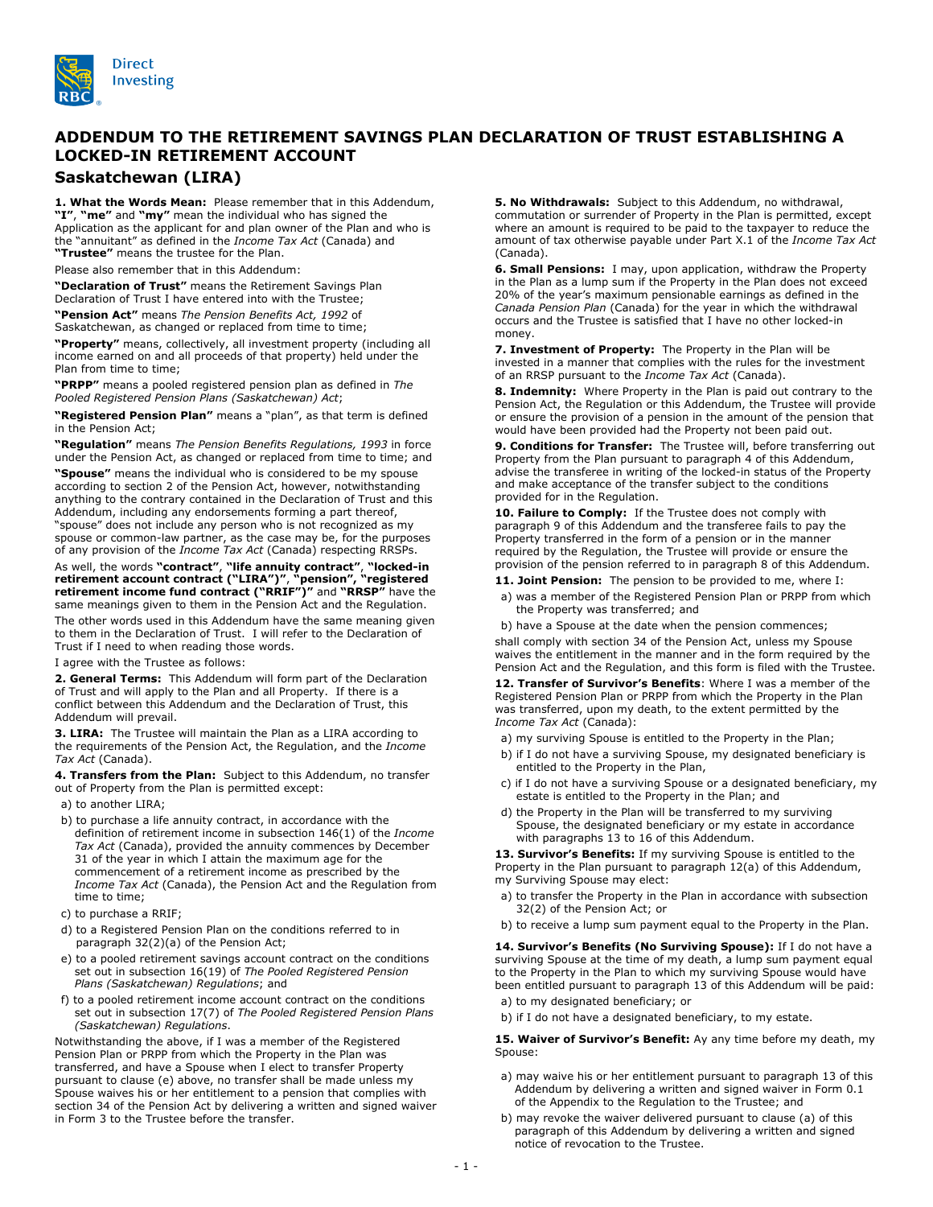

## **ADDENDUM TO THE RETIREMENT SAVINGS PLAN DECLARATION OF TRUST ESTABLISHING A LOCKED-IN RETIREMENT ACCOUNT**

**Saskatchewan (LIRA)**

**1. What the Words Mean:** Please remember that in this Addendum, **"I"**, **"me"** and **"my"** mean the individual who has signed the Application as the applicant for and plan owner of the Plan and who is the "annuitant" as defined in the *Income Tax Act* (Canada) and **"Trustee"** means the trustee for the Plan.

Please also remember that in this Addendum:

**"Declaration of Trust"** means the Retirement Savings Plan Declaration of Trust I have entered into with the Trustee;

**"Pension Act"** means *The Pension Benefits Act, 1992* of Saskatchewan, as changed or replaced from time to time;

**"Property"** means, collectively, all investment property (including all income earned on and all proceeds of that property) held under the Plan from time to time;

**"PRPP"** means a pooled registered pension plan as defined in *The Pooled Registered Pension Plans (Saskatchewan) Act*;

**"Registered Pension Plan"** means a "plan", as that term is defined in the Pension Act;

**"Regulation"** means *The Pension Benefits Regulations, 1993* in force under the Pension Act, as changed or replaced from time to time; and

**"Spouse"** means the individual who is considered to be my spouse according to section 2 of the Pension Act, however, notwithstanding anything to the contrary contained in the Declaration of Trust and this Addendum, including any endorsements forming a part thereof, "spouse" does not include any person who is not recognized as my spouse or common-law partner, as the case may be, for the purposes of any provision of the *Income Tax Act* (Canada) respecting RRSPs.

As well, the words **"contract"**, **"life annuity contract"**, **"locked-in retirement account contract ("LIRA")"**, **"pension", "registered retirement income fund contract ("RRIF")"** and **"RRSP"** have the same meanings given to them in the Pension Act and the Regulation.

The other words used in this Addendum have the same meaning given to them in the Declaration of Trust. I will refer to the Declaration of Trust if I need to when reading those words.

I agree with the Trustee as follows:

**2. General Terms:** This Addendum will form part of the Declaration of Trust and will apply to the Plan and all Property. If there is a conflict between this Addendum and the Declaration of Trust, this Addendum will prevail.

**3. LIRA:** The Trustee will maintain the Plan as a LIRA according to the requirements of the Pension Act, the Regulation, and the *Income Tax Act* (Canada).

**4. Transfers from the Plan:** Subject to this Addendum, no transfer out of Property from the Plan is permitted except:

a) to another LIRA;

b) to purchase a life annuity contract, in accordance with the definition of retirement income in subsection 146(1) of the *Income Tax Act* (Canada), provided the annuity commences by December 31 of the year in which I attain the maximum age for the commencement of a retirement income as prescribed by the *Income Tax Act* (Canada), the Pension Act and the Regulation from time to time;

- c) to purchase a RRIF;
- d) to a Registered Pension Plan on the conditions referred to in paragraph 32(2)(a) of the Pension Act;
- e) to a pooled retirement savings account contract on the conditions set out in subsection 16(19) of *The Pooled Registered Pension Plans (Saskatchewan) Regulations*; and
- f) to a pooled retirement income account contract on the conditions set out in subsection 17(7) of *The Pooled Registered Pension Plans (Saskatchewan) Regulations*.

Notwithstanding the above, if I was a member of the Registered Pension Plan or PRPP from which the Property in the Plan was transferred, and have a Spouse when I elect to transfer Property pursuant to clause (e) above, no transfer shall be made unless my Spouse waives his or her entitlement to a pension that complies with section 34 of the Pension Act by delivering a written and signed waiver in Form 3 to the Trustee before the transfer.

**5. No Withdrawals:** Subject to this Addendum, no withdrawal, commutation or surrender of Property in the Plan is permitted, except where an amount is required to be paid to the taxpayer to reduce the amount of tax otherwise payable under Part X.1 of the *Income Tax Act* (Canada).

**6. Small Pensions:** I may, upon application, withdraw the Property in the Plan as a lump sum if the Property in the Plan does not exceed 20% of the year's maximum pensionable earnings as defined in the *Canada Pension Plan* (Canada) for the year in which the withdrawal occurs and the Trustee is satisfied that I have no other locked-in money.

**7. Investment of Property:** The Property in the Plan will be invested in a manner that complies with the rules for the investment of an RRSP pursuant to the *Income Tax Act* (Canada).

**8. Indemnity:** Where Property in the Plan is paid out contrary to the Pension Act, the Regulation or this Addendum, the Trustee will provide or ensure the provision of a pension in the amount of the pension that would have been provided had the Property not been paid out.

**9. Conditions for Transfer:** The Trustee will, before transferring out Property from the Plan pursuant to paragraph 4 of this Addendum, advise the transferee in writing of the locked-in status of the Property and make acceptance of the transfer subject to the conditions provided for in the Regulation.

**10. Failure to Comply:** If the Trustee does not comply with paragraph 9 of this Addendum and the transferee fails to pay the Property transferred in the form of a pension or in the manner required by the Regulation, the Trustee will provide or ensure the provision of the pension referred to in paragraph 8 of this Addendum.

**11. Joint Pension:** The pension to be provided to me, where I:

- a) was a member of the Registered Pension Plan or PRPP from which the Property was transferred; and
- b) have a Spouse at the date when the pension commences; shall comply with section 34 of the Pension Act, unless my Spouse waives the entitlement in the manner and in the form required by the Pension Act and the Regulation, and this form is filed with the Trustee.

**12. Transfer of Survivor's Benefits**: Where I was a member of the Registered Pension Plan or PRPP from which the Property in the Plan was transferred, upon my death, to the extent permitted by the *Income Tax Act* (Canada):

- a) my surviving Spouse is entitled to the Property in the Plan;
- b) if I do not have a surviving Spouse, my designated beneficiary is entitled to the Property in the Plan,
- c) if I do not have a surviving Spouse or a designated beneficiary, my estate is entitled to the Property in the Plan; and
- d) the Property in the Plan will be transferred to my surviving Spouse, the designated beneficiary or my estate in accordance with paragraphs 13 to 16 of this Addendum.

13. Survivor's Benefits: If my surviving Spouse is entitled to the Property in the Plan pursuant to paragraph 12(a) of this Addendum, my Surviving Spouse may elect:

- a) to transfer the Property in the Plan in accordance with subsection 32(2) of the Pension Act; or
- b) to receive a lump sum payment equal to the Property in the Plan.

**14. Survivor's Benefits (No Surviving Spouse):** If I do not have a surviving Spouse at the time of my death, a lump sum payment equal to the Property in the Plan to which my surviving Spouse would have been entitled pursuant to paragraph 13 of this Addendum will be paid:

- a) to my designated beneficiary; or
- b) if I do not have a designated beneficiary, to my estate.

15. Waiver of Survivor's Benefit: Ay any time before my death, my Spouse:

- a) may waive his or her entitlement pursuant to paragraph 13 of this Addendum by delivering a written and signed waiver in Form 0.1 of the Appendix to the Regulation to the Trustee; and
- b) may revoke the waiver delivered pursuant to clause (a) of this paragraph of this Addendum by delivering a written and signed notice of revocation to the Trustee.